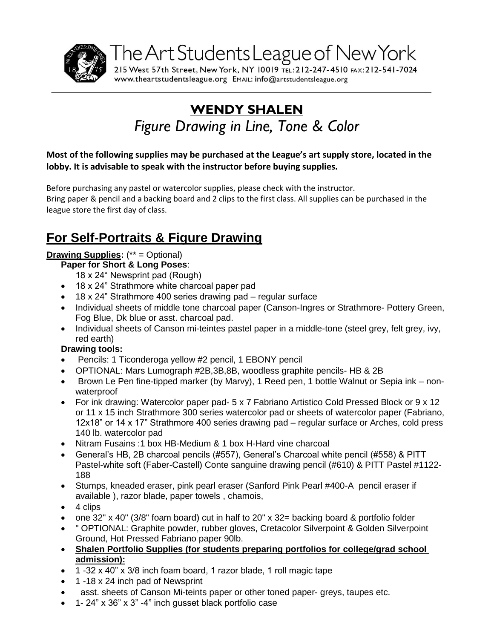

The Art Students League of New York 215 West 57th Street, New York, NY 10019 TEL: 212-247-4510 FAX: 212-541-7024

www.theartstudentsleague.org EMAIL: info@artstudentsleague.org

# **WENDY SHALEN** *Figure Drawing in Line, Tone & Color*

## **Most of the following supplies may be purchased at the League's art supply store, located in the lobby. It is advisable to speak with the instructor before buying supplies.**

Before purchasing any pastel or watercolor supplies, please check with the instructor. Bring paper & pencil and a backing board and 2 clips to the first class. All supplies can be purchased in the league store the first day of class.

## **For Self-Portraits & Figure Drawing**

## **Drawing Supplies:** (\*\* = Optional)

#### **Paper for Short & Long Poses**:

- 18 x 24" Newsprint pad (Rough)
- 18 x 24" Strathmore white charcoal paper pad
- 18 x 24" Strathmore 400 series drawing pad regular surface
- Individual sheets of middle tone charcoal paper (Canson-Ingres or Strathmore- Pottery Green, Fog Blue, Dk blue or asst. charcoal pad.
- Individual sheets of Canson mi-teintes pastel paper in a middle-tone (steel grey, felt grey, ivy, red earth)

#### **Drawing tools:**

- Pencils: 1 Ticonderoga yellow #2 pencil, 1 EBONY pencil
- OPTIONAL: Mars Lumograph #2B,3B,8B, woodless graphite pencils- HB & 2B
- $\bullet$  Brown Le Pen fine-tipped marker (by Marvy), 1 Reed pen, 1 bottle Walnut or Sepia ink nonwaterproof
- For ink drawing: Watercolor paper pad- 5 x 7 Fabriano Artistico Cold Pressed Block or 9 x 12 or 11 x 15 inch Strathmore 300 series watercolor pad or sheets of watercolor paper (Fabriano, 12x18" or 14 x 17" Strathmore 400 series drawing pad – regular surface or Arches, cold press 140 lb. watercolor pad
- Nitram Fusains :1 box HB-Medium & 1 box H-Hard vine charcoal
- General's HB, 2B charcoal pencils (#557), General's Charcoal white pencil (#558) & PITT Pastel-white soft (Faber-Castell) Conte sanguine drawing pencil (#610) & PITT Pastel #1122- 188
- Stumps, kneaded eraser, pink pearl eraser (Sanford Pink Pearl #400-A pencil eraser if available ), razor blade, paper towels , chamois,
- $\bullet$  4 clips
- one  $32'' \times 40''$  (3/8" foam board) cut in half to 20"  $\times$  32= backing board & portfolio folder
- " OPTIONAL: Graphite powder, rubber gloves, Cretacolor Silverpoint & Golden Silverpoint Ground, Hot Pressed Fabriano paper 90lb.
- **Shalen Portfolio Supplies (for students preparing portfolios for college/grad school admission):**
- 1 -32 x 40" x 3/8 inch foam board, 1 razor blade, 1 roll magic tape
- 1 -18 x 24 inch pad of Newsprint
- asst. sheets of Canson Mi-teints paper or other toned paper- greys, taupes etc.
- 1- 24" x 36" x 3" -4" inch gusset black portfolio case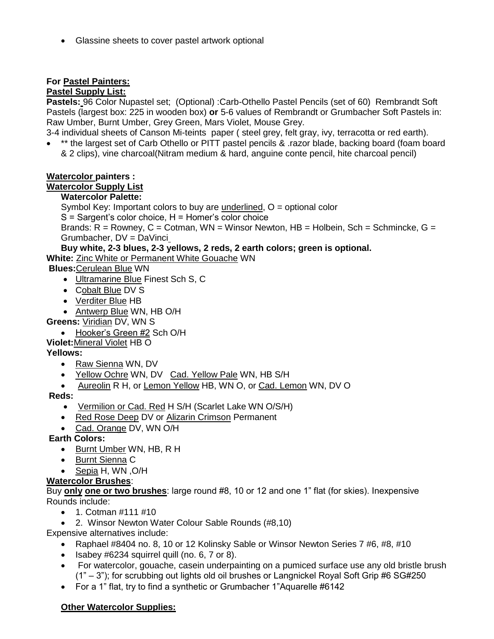Glassine sheets to cover pastel artwork optional

## **For Pastel Painters:**

#### **Pastel Supply List:**

**Pastels:** 96 Color Nupastel set; (Optional) :Carb-Othello Pastel Pencils (set of 60) Rembrandt Soft Pastels (largest box: 225 in wooden box) **or** 5-6 values of Rembrandt or Grumbacher Soft Pastels in: Raw Umber, Burnt Umber, Grey Green, Mars Violet, Mouse Grey.

3-4 individual sheets of Canson Mi-teints paper ( steel grey, felt gray, ivy, terracotta or red earth). \*\* the largest set of Carb Othello or PITT pastel pencils & .razor blade, backing board (foam board

& 2 clips), vine charcoal(Nitram medium & hard, anguine conte pencil, hite charcoal pencil)

#### **Watercolor painters :**

#### **Watercolor Supply List**

#### **Watercolor Palette:**

Symbol Key: Important colors to buy are underlined, O = optional color

 $S =$  Sargent's color choice,  $H =$  Homer's color choice

Brands:  $R =$  Rowney,  $C =$  Cotman, WN = Winsor Newton,  $HB =$  Holbein, Sch = Schmincke, G = Grumbacher, DV = DaVinci

## **Buy white, 2-3 blues, 2-3 yellows, 2 reds, 2 earth colors; green is optional.**

**White:** Zinc White or Permanent White Gouache WN

**Blues:**Cerulean Blue WN

- Ultramarine Blue Finest Sch S, C
- Cobalt Blue DV S
- Verditer Blue HB
- Antwerp Blue WN, HB O/H

**Greens:** Viridian DV, WN S

• Hooker's Green #2 Sch O/H

#### **Violet:**Mineral Violet HB O

#### **Yellows:**

- Raw Sienna WN, DV
- Yellow Ochre WN, DV Cad. Yellow Pale WN, HB S/H
- Aureolin R H, or Lemon Yellow HB, WN O, or Cad. Lemon WN, DV O

#### **Reds:**

- Vermilion or Cad. Red H S/H (Scarlet Lake WN O/S/H)
- Red Rose Deep DV or Alizarin Crimson Permanent
- Cad. Orange DV, WN O/H
- **Earth Colors:** 
	- Burnt Umber WN, HB, R H
	- Burnt Sienna C
	- Sepia H, WN ,O/H

## **Watercolor Brushes**:

Buy **only one or two brushes**: large round #8, 10 or 12 and one 1" flat (for skies). Inexpensive Rounds include:

- $\bullet$  1. Cotman #111 #10
- 2. Winsor Newton Water Colour Sable Rounds (#8,10)

Expensive alternatives include:

- Raphael #8404 no. 8, 10 or 12 Kolinsky Sable or Winsor Newton Series 7 #6, #8, #10
- $\bullet$  Isabey #6234 squirrel quill (no. 6, 7 or 8).
- For watercolor, gouache, casein underpainting on a pumiced surface use any old bristle brush (1" – 3"); for scrubbing out lights old oil brushes or Langnickel Royal Soft Grip #6 SG#250
- For a 1" flat, try to find a synthetic or Grumbacher 1"Aquarelle #6142

#### **Other Watercolor Supplies:**